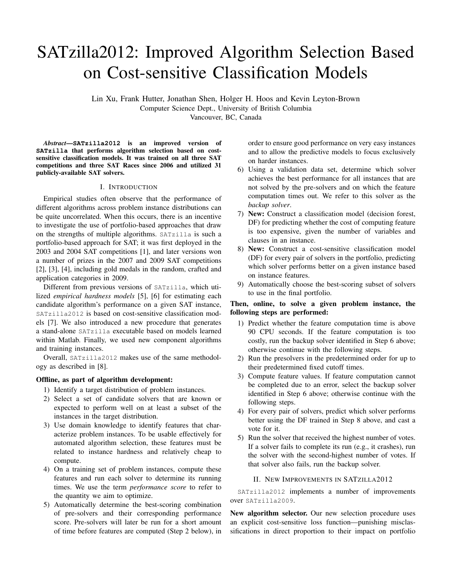# SATzilla2012: Improved Algorithm Selection Based on Cost-sensitive Classification Models

Lin Xu, Frank Hutter, Jonathan Shen, Holger H. Hoos and Kevin Leyton-Brown Computer Science Dept., University of British Columbia Vancouver, BC, Canada

*Abstract*—**SATzilla2012** is an improved version of **SATzilla** that performs algorithm selection based on costsensitive classification models. It was trained on all three SAT competitions and three SAT Races since 2006 and utilized 31 publicly-available SAT solvers.

# I. INTRODUCTION

Empirical studies often observe that the performance of different algorithms across problem instance distributions can be quite uncorrelated. When this occurs, there is an incentive to investigate the use of portfolio-based approaches that draw on the strengths of multiple algorithms. SATzilla is such a portfolio-based approach for SAT; it was first deployed in the 2003 and 2004 SAT competitions [1], and later versions won a number of prizes in the 2007 and 2009 SAT competitions [2], [3], [4], including gold medals in the random, crafted and application categories in 2009.

Different from previous versions of SATzilla, which utilized *empirical hardness models* [5], [6] for estimating each candidate algorithm's performance on a given SAT instance, SATzilla2012 is based on cost-sensitive classification models [7]. We also introduced a new procedure that generates a stand-alone SATzilla executable based on models learned within Matlab. Finally, we used new component algorithms and training instances.

Overall, SATzilla2012 makes use of the same methodology as described in [8].

# Offline, as part of algorithm development:

- 1) Identify a target distribution of problem instances.
- 2) Select a set of candidate solvers that are known or expected to perform well on at least a subset of the instances in the target distribution.
- 3) Use domain knowledge to identify features that characterize problem instances. To be usable effectively for automated algorithm selection, these features must be related to instance hardness and relatively cheap to compute.
- 4) On a training set of problem instances, compute these features and run each solver to determine its running times. We use the term *performance score* to refer to the quantity we aim to optimize.
- 5) Automatically determine the best-scoring combination of pre-solvers and their corresponding performance score. Pre-solvers will later be run for a short amount of time before features are computed (Step 2 below), in

order to ensure good performance on very easy instances and to allow the predictive models to focus exclusively on harder instances.

- 6) Using a validation data set, determine which solver achieves the best performance for all instances that are not solved by the pre-solvers and on which the feature computation times out. We refer to this solver as the *backup solver*.
- 7) New: Construct a classification model (decision forest, DF) for predicting whether the cost of computing feature is too expensive, given the number of variables and clauses in an instance.
- 8) New: Construct a cost-sensitive classification model (DF) for every pair of solvers in the portfolio, predicting which solver performs better on a given instance based on instance features.
- 9) Automatically choose the best-scoring subset of solvers to use in the final portfolio.

# Then, online, to solve a given problem instance, the following steps are performed:

- 1) Predict whether the feature computation time is above 90 CPU seconds. If the feature computation is too costly, run the backup solver identified in Step 6 above; otherwise continue with the following steps.
- 2) Run the presolvers in the predetermined order for up to their predetermined fixed cutoff times.
- 3) Compute feature values. If feature computation cannot be completed due to an error, select the backup solver identified in Step 6 above; otherwise continue with the following steps.
- 4) For every pair of solvers, predict which solver performs better using the DF trained in Step 8 above, and cast a vote for it.
- 5) Run the solver that received the highest number of votes. If a solver fails to complete its run (e.g., it crashes), run the solver with the second-highest number of votes. If that solver also fails, run the backup solver.

## II. NEW IMPROVEMENTS IN SATZILLA2012

SATzilla2012 implements a number of improvements over SATzilla2009.

New algorithm selector. Our new selection procedure uses an explicit cost-sensitive loss function—punishing misclassifications in direct proportion to their impact on portfolio